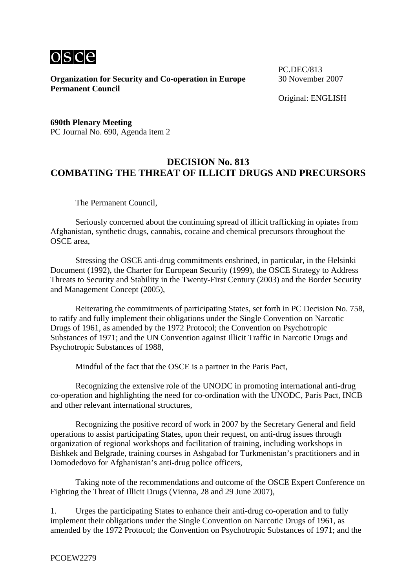

**Organization for Security and Co-operation in Europe** 30 November 2007 **Permanent Council** 

PC.DEC/813

Original: ENGLISH

**690th Plenary Meeting** PC Journal No. 690, Agenda item 2

## **DECISION No. 813 COMBATING THE THREAT OF ILLICIT DRUGS AND PRECURSORS**

The Permanent Council,

Seriously concerned about the continuing spread of illicit trafficking in opiates from Afghanistan, synthetic drugs, cannabis, cocaine and chemical precursors throughout the OSCE area,

Stressing the OSCE anti-drug commitments enshrined, in particular, in the Helsinki Document (1992), the Charter for European Security (1999), the OSCE Strategy to Address Threats to Security and Stability in the Twenty-First Century (2003) and the Border Security and Management Concept (2005),

Reiterating the commitments of participating States, set forth in PC Decision No. 758, to ratify and fully implement their obligations under the Single Convention on Narcotic Drugs of 1961, as amended by the 1972 Protocol; the Convention on Psychotropic Substances of 1971; and the UN Convention against Illicit Traffic in Narcotic Drugs and Psychotropic Substances of 1988,

Mindful of the fact that the OSCE is a partner in the Paris Pact,

Recognizing the extensive role of the UNODC in promoting international anti-drug co-operation and highlighting the need for co-ordination with the UNODC, Paris Pact, INCB and other relevant international structures,

Recognizing the positive record of work in 2007 by the Secretary General and field operations to assist participating States, upon their request, on anti-drug issues through organization of regional workshops and facilitation of training, including workshops in Bishkek and Belgrade, training courses in Ashgabad for Turkmenistan's practitioners and in Domodedovo for Afghanistan's anti-drug police officers,

Taking note of the recommendations and outcome of the OSCE Expert Conference on Fighting the Threat of Illicit Drugs (Vienna, 28 and 29 June 2007),

1. Urges the participating States to enhance their anti-drug co-operation and to fully implement their obligations under the Single Convention on Narcotic Drugs of 1961, as amended by the 1972 Protocol; the Convention on Psychotropic Substances of 1971; and the